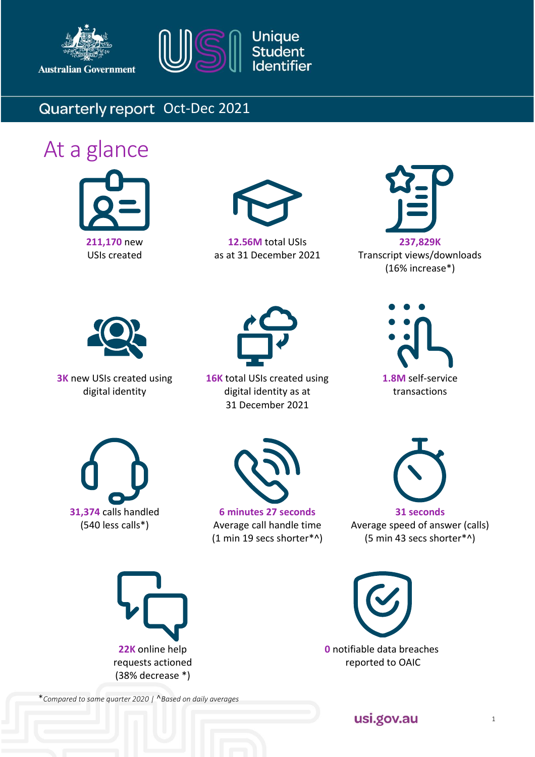





## Quarterly report Oct-Dec 2021

# At a glance





**12.56M** total USIs as at 31 December 2021



Transcript views/downloads (16% increase\*)



**3K** new USIs created using digital identity



**16K** total USIs created using digital identity as at 31 December 2021







**6 minutes 27 seconds** Average call handle time (1 min 19 secs shorter\*^)



Average speed of answer (calls) (5 min 43 secs shorter\*^)





\**Compared to same quarter 2020 |* ^*Based on daily averages*

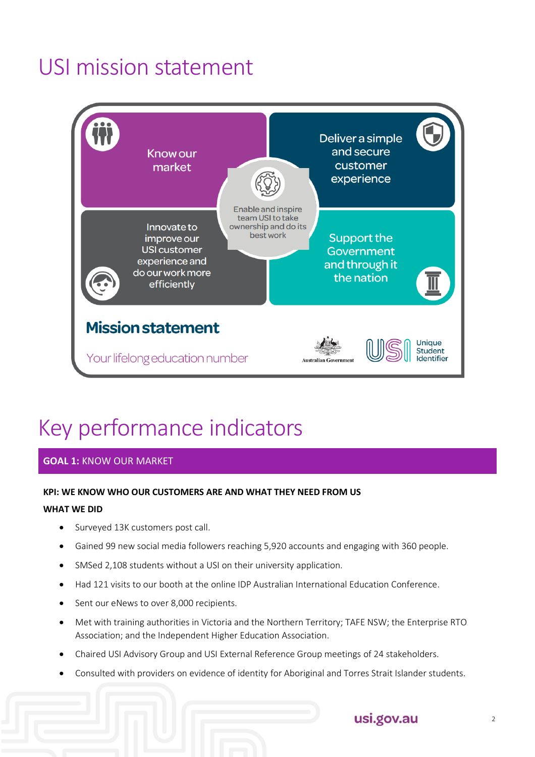# USI mission statement



# Key performance indicators

#### **GOAL 1:** KNOW OUR MARKET

#### **KPI: WE KNOW WHO OUR CUSTOMERS ARE AND WHAT THEY NEED FROM US**

#### **WHAT WE DID**

- Surveyed 13K customers post call.
- Gained 99 new social media followers reaching 5,920 accounts and engaging with 360 people.
- SMSed 2,108 students without a USI on their university application.
- Had 121 visits to our booth at the online IDP Australian International Education Conference.
- Sent our eNews to over 8,000 recipients.
- Met with training authorities in Victoria and the Northern Territory; TAFE NSW; the Enterprise RTO Association; and the Independent Higher Education Association.
- Chaired USI Advisory Group and USI External Reference Group meetings of 24 stakeholders.
- Consulted with providers on evidence of identity for Aboriginal and Torres Strait Islander students.

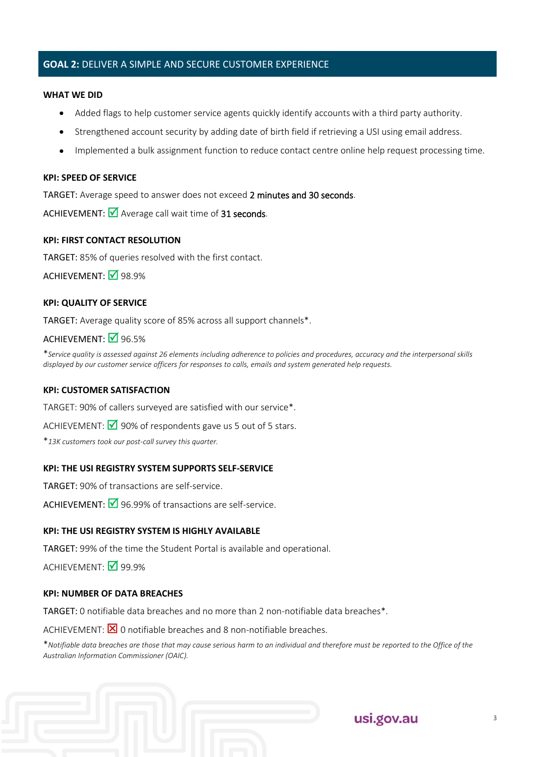#### **GOAL 2:** DELIVER A SIMPLE AND SECURE CUSTOMER EXPERIENCE

#### **WHAT WE DID**

- Added flags to help customer service agents quickly identify accounts with a third party authority.
- Strengthened account security by adding date of birth field if retrieving a USI using email address.
- Implemented a bulk assignment function to reduce contact centre online help request processing time.

#### **KPI: SPEED OF SERVICE**

TARGET: Average speed to answer does not exceed 2 minutes and 30 seconds.

ACHIEVEMENT:  $\blacksquare$  Average call wait time of 31 seconds.

#### **KPI: FIRST CONTACT RESOLUTION**

TARGET: 85% of queries resolved with the first contact.

ACHIEVEMENT: 08.9%

#### **KPI: QUALITY OF SERVICE**

TARGET: Average quality score of 85% across all support channels\*.

#### ACHIEVEMENT: **■**96.5%

\**Service quality is assessed against 26 elements including adherence to policies and procedures, accuracy and the interpersonal skills displayed by our customer service officers for responses to calls, emails and system generated help requests.* 

#### **KPI: CUSTOMER SATISFACTION**

TARGET: 90% of callers surveyed are satisfied with our service\*.

ACHIEVEMENT:  $\bigotimes$  90% of respondents gave us 5 out of 5 stars.

\**13K customers took our post-call survey this quarter.*

#### **KPI: THE USI REGISTRY SYSTEM SUPPORTS SELF-SERVICE**

TARGET: 90% of transactions are self-service.

ACHIEVEMENT:  $\overline{M}$  96.99% of transactions are self-service.

#### **KPI: THE USI REGISTRY SYSTEM IS HIGHLY AVAILABLE**

TARGET: 99% of the time the Student Portal is available and operational.

ACHIEVEMENT:  $\sqrt{99.9\%}$ 

#### **KPI: NUMBER OF DATA BREACHES**

TARGET: 0 notifiable data breaches and no more than 2 non-notifiable data breaches\*.

ACHIEVEMENT:  $\boxtimes$  0 notifiable breaches and 8 non-notifiable breaches.

\**Notifiable data breaches are those that may cause serious harm to an individual and therefore must be reported to the Office of the Australian Information Commissioner (OAIC).*

## usi.gov.au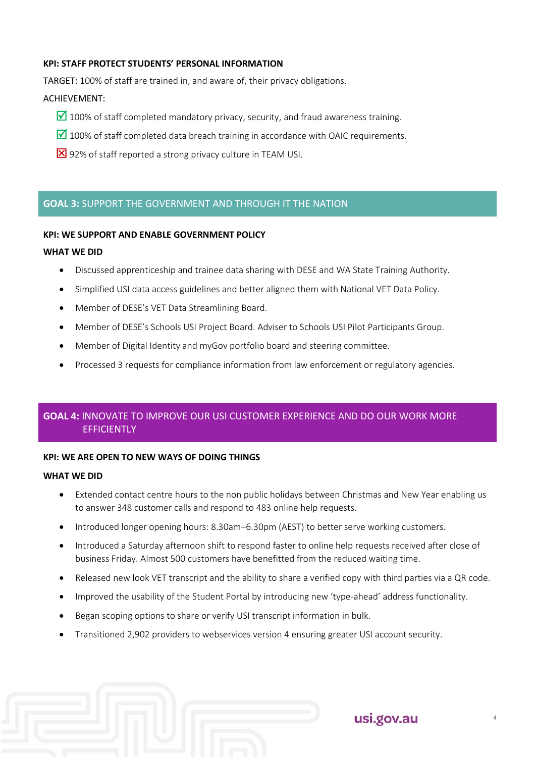#### **KPI: STAFF PROTECT STUDENTS' PERSONAL INFORMATION**

TARGET: 100% of staff are trained in, and aware of, their privacy obligations.

#### ACHIEVEMENT:

- $\Box$  100% of staff completed mandatory privacy, security, and fraud awareness training.
- $\Box$  100% of staff completed data breach training in accordance with OAIC requirements.
- 82% of staff reported a strong privacy culture in TEAM USI.

#### **GOAL 3:** SUPPORT THE GOVERNMENT AND THROUGH IT THE NATION

#### **KPI: WE SUPPORT AND ENABLE GOVERNMENT POLICY**

#### **WHAT WE DID**

- Discussed apprenticeship and trainee data sharing with DESE and WA State Training Authority.
- Simplified USI data access guidelines and better aligned them with National VET Data Policy.
- Member of DESE's VET Data Streamlining Board.
- Member of DESE's Schools USI Project Board. Adviser to Schools USI Pilot Participants Group.
- Member of Digital Identity and myGov portfolio board and steering committee.
- Processed 3 requests for compliance information from law enforcement or regulatory agencies.

#### **GOAL 4:** INNOVATE TO IMPROVE OUR USI CUSTOMER EXPERIENCE AND DO OUR WORK MORE **EFFICIENTLY**

#### **KPI: WE ARE OPEN TO NEW WAYS OF DOING THINGS**

#### **WHAT WE DID**

- Extended contact centre hours to the non public holidays between Christmas and New Year enabling us to answer 348 customer calls and respond to 483 online help requests.
- Introduced longer opening hours: 8.30am–6.30pm (AEST) to better serve working customers.
- Introduced a Saturday afternoon shift to respond faster to online help requests received after close of business Friday. Almost 500 customers have benefitted from the reduced waiting time.
- Released new look VET transcript and the ability to share a verified copy with third parties via a QR code.
- Improved the usability of the Student Portal by introducing new 'type-ahead' address functionality.
- Began scoping options to share or verify USI transcript information in bulk.
- Transitioned 2,902 providers to webservices version 4 ensuring greater USI account security.